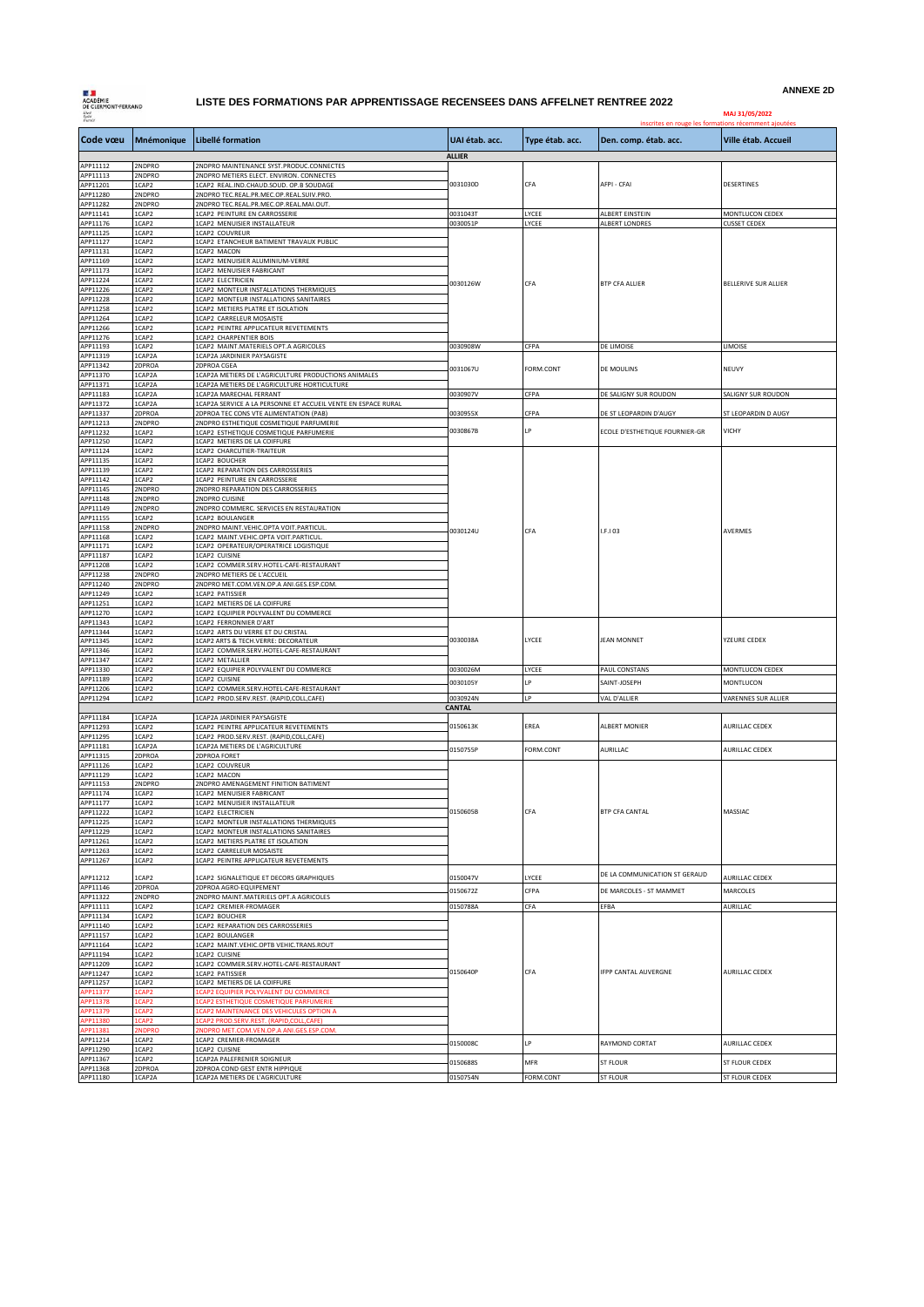**LE JE<br>ACADÉMIE<br>DE CLERMONT-FERRAND** 

## **LISTE DES FORMATIONS PAR APPRENTISSAGE RECENSEES DANS AFFELNET RENTREE 2022**

**ANNEXE 2D**

| Liberi<br>Kydia<br>Frainnia |                       |                                                                                                  |                      |                 | MAJ 31/05/2022<br>inscrites en rouge les formations récemment ajoutées |                                        |
|-----------------------------|-----------------------|--------------------------------------------------------------------------------------------------|----------------------|-----------------|------------------------------------------------------------------------|----------------------------------------|
| Code vœu                    | Mnémonique            | Libellé formation                                                                                | UAI étab. acc.       | Type étab. acc. | Den. comp. étab. acc.                                                  | Ville étab. Accueil                    |
| APP11112                    | 2NDPRO                | 2NDPRO MAINTENANCE SYST.PRODUC.CONNECTES                                                         | <b>ALLIER</b>        |                 |                                                                        |                                        |
| APP11113                    | 2NDPRO                | 2NDPRO METIERS ELECT. ENVIRON. CONNECTES                                                         |                      |                 |                                                                        |                                        |
| APP11201<br>APP11280        | 1CAP2<br>2NDPRO       | 1CAP2 REAL.IND.CHAUD.SOUD. OP.B SOUDAGE<br>2NDPRO TEC.REAL.PR.MEC.OP.REAL.SUIV.PRO.              | 0031030D             | CFA             | AFPI - CFAI                                                            | DESERTINES                             |
| APP11282                    | 2NDPRO                | 2NDPRO TEC.REAL.PR.MEC.OP.REAL.MAI.OUT.                                                          |                      |                 |                                                                        |                                        |
| APP11141<br>APP11176        | 1CAP2<br>1CAP2        | 1CAP2 PEINTURE EN CARROSSERIE<br>1CAP2 MENUISIER INSTALLATEUR                                    | 0031043T             | LYCEE           | ALBERT EINSTEIN<br>ALBERT LONDRES                                      | MONTLUCON CEDEX<br><b>CUSSET CEDEX</b> |
| APP11125                    | 1CAP2                 | 1CAP2 COUVREUR                                                                                   | 0030051P<br>0030126W | LYCEE<br>CFA    | <b>BTP CFA ALLIER</b>                                                  | BELLERIVE SUR ALLIER                   |
| APP11127<br>APP11131        | 1CAP2<br>1CAP2        | 1CAP2 ETANCHEUR BATIMENT TRAVAUX PUBLIC<br>1CAP2 MACON                                           |                      |                 |                                                                        |                                        |
| APP11169                    | 1CAP2                 | 1CAP2 MENUISIER ALUMINIUM-VERRE                                                                  |                      |                 |                                                                        |                                        |
| APP11173<br>APP11224        | 1CAP2<br>1CAP2        | 1CAP2 MENUISIER FABRICANT<br>1CAP2 ELECTRICIEN                                                   |                      |                 |                                                                        |                                        |
| APP11226                    | 1CAP2                 | 1CAP2 MONTEUR INSTALLATIONS THERMIQUES                                                           |                      |                 |                                                                        |                                        |
| APP11228<br>APP11258        | 1CAP2<br>1CAP2        | 1CAP2 MONTEUR INSTALLATIONS SANITAIRES<br>1CAP2 METIERS PLATRE ET ISOLATION                      |                      |                 |                                                                        |                                        |
| APP11264                    | 1CAP2                 | 1CAP2 CARRELEUR MOSAISTE                                                                         |                      |                 |                                                                        |                                        |
| APP11266                    | 1CAP2                 | 1CAP2 PEINTRE APPLICATEUR REVETEMENTS                                                            |                      |                 |                                                                        |                                        |
| APP11276<br>APP11193        | 1CAP2<br>1CAP2        | 1CAP2 CHARPENTIER BOIS<br>1CAP2 MAINT.MATERIELS OPT.A AGRICOLES                                  | 0030908W             | CFPA            | DE LIMOISE                                                             | LIMOISE                                |
| APP11319                    | 1CAP2A                | 1CAP2A JARDINIER PAYSAGISTE                                                                      |                      |                 |                                                                        |                                        |
| APP11342<br>APP11370        | 2DPROA<br>1CAP2A      | 2DPROA CGEA<br>1CAP2A METIERS DE L'AGRICULTURE PRODUCTIONS ANIMALES                              | 0031067U             | FORM.CONT       | DE MOULINS                                                             | NEUVY                                  |
| APP11371                    | 1CAP2A                | 1CAP2A METIERS DE L'AGRICULTURE HORTICULTURE                                                     |                      |                 |                                                                        |                                        |
| APP11183<br>APP11372        | 1CAP2A<br>1CAP2A      | 1CAP2A MARECHAL FERRANT<br>1CAP2A SERVICE A LA PERSONNE ET ACCUEIL VENTE EN ESPACE RURAL         | 0030907V             | CFPA            | DE SALIGNY SUR ROUDON                                                  | SALIGNY SUR ROUDON                     |
| APP11337                    | 2DPROA                | 2DPROA TEC CONS VTE ALIMENTATION (PAB)                                                           | 0030955X             | CFPA            | DE ST LEOPARDIN D'AUGY                                                 | ST LEOPARDIN D AUGY                    |
| APP11213<br>APP11232        | 2NDPRO<br>1CAP2       | 2NDPRO ESTHETIQUE COSMETIQUE PARFUMERIE<br>1CAP2 ESTHETIQUE COSMETIQUE PARFUMERIE                | 0030867B             | LР              | ECOLE D'ESTHETIQUE FOURNIER-GR                                         | VICHY                                  |
| APP11250                    | 1CAP2                 | 1CAP2 METIERS DE LA COIFFURE                                                                     |                      |                 |                                                                        |                                        |
| APP11124<br>APP11135        | 1CAP2<br>1CAP2        | 1CAP2 CHARCUTIER-TRAITEUR<br>1CAP2 BOUCHER                                                       |                      |                 | I.F.I 03<br>JEAN MONNET                                                | AVERMES<br>YZEURE CEDEX                |
| APP11139                    | 1CAP2                 | 1CAP2 REPARATION DES CARROSSERIES                                                                |                      |                 |                                                                        |                                        |
| APP11142<br>APP11145        | 1CAP2<br>2NDPRO       | 1CAP2 PEINTURE EN CARROSSERIE<br>2NDPRO REPARATION DES CARROSSERIES                              |                      |                 |                                                                        |                                        |
| APP11148                    | 2NDPRO                | 2NDPRO CUISINE                                                                                   |                      |                 |                                                                        |                                        |
| APP11149<br>APP11155        | 2NDPRO<br>1CAP2       | 2NDPRO COMMERC. SERVICES EN RESTAURATION<br>1CAP2 BOULANGER                                      |                      |                 |                                                                        |                                        |
| APP11158                    | 2NDPRO                | 2NDPRO MAINT.VEHIC.OPTA VOIT.PARTICUL                                                            | 0030124U             | CFA             |                                                                        |                                        |
| APP11168<br>APP11171        | 1CAP2<br>1CAP2        | 1CAP2 MAINT.VEHIC.OPTA VOIT.PARTICUL<br>1CAP2 OPERATEUR/OPERATRICE LOGISTIQUE                    |                      |                 |                                                                        |                                        |
| APP11187                    | 1CAP2                 | 1CAP2 CUISINE                                                                                    |                      |                 |                                                                        |                                        |
| APP11208<br>APP11238        | 1CAP2<br>2NDPRO       | 1CAP2 COMMER.SERV.HOTEL-CAFE-RESTAURANT<br>2NDPRO METIERS DE L'ACCUEIL                           |                      | LYCEE           |                                                                        |                                        |
| APP11240                    | 2NDPRO                | 2NDPRO MET.COM.VEN.OP.A ANI.GES.ESP.COM.                                                         |                      |                 |                                                                        |                                        |
| APP11249<br>APP11251        | 1CAP2<br>1CAP2        | 1CAP2 PATISSIER<br>1CAP2 METIERS DE LA COIFFURE                                                  |                      |                 |                                                                        |                                        |
| APP11270                    | 1CAP2                 | 1CAP2 EQUIPIER POLYVALENT DU COMMERCE                                                            |                      |                 |                                                                        |                                        |
| APP11343<br>APP11344        | 1CAP2<br>1CAP2        | 1CAP2 FERRONNIER D'ART<br>1CAP2 ARTS DU VERRE ET DU CRISTAL                                      |                      |                 |                                                                        |                                        |
| APP11345                    | 1CAP2                 | 1CAP2 ARTS & TECH.VERRE: DECORATEUR                                                              | 0030038A             |                 |                                                                        |                                        |
| APP11346<br>APP11347        | 1CAP2<br>1CAP2        | 1CAP2 COMMER.SERV.HOTEL-CAFE-RESTAURANT<br>1CAP2 METALLIER                                       |                      |                 |                                                                        |                                        |
| APP11330                    | 1CAP2                 | 1CAP2 EQUIPIER POLYVALENT DU COMMERCE                                                            | 0030026M             | LYCEE           | PAUL CONSTANS                                                          | MONTLUCON CEDEX                        |
| APP11189<br>APP11206        | 1CAP2<br>1CAP2        | 1CAP2 CUISINE<br>1CAP2 COMMER.SERV.HOTEL-CAFE-RESTAURANT                                         | 0030105Y             | I P             | SAINT-JOSEPH                                                           | MONTLUCON                              |
| APP11294                    | 1CAP2                 | 1CAP2 PROD.SERV.REST. (RAPID,COLL,CAFE)                                                          | 0030924N             | LP              | VAL D'ALLIER                                                           | VARENNES SUR ALLIER                    |
|                             |                       |                                                                                                  | <b>CANTAL</b>        |                 |                                                                        |                                        |
| APP11184<br>APP11293        | 1CAP2A<br>1CAP2       | 1CAP2A JARDINIER PAYSAGISTE<br>1CAP2 PEINTRE APPLICATEUR REVETEMENTS                             | 0150613K             | EREA            | ALBERT MONIER                                                          | AURILLAC CEDEX                         |
| APP11295                    | 1CAP2                 | 1CAP2 PROD.SERV.REST. (RAPID,COLL,CAFE)<br>1CAP2A METIERS DE L'AGRICULTURE                       |                      |                 |                                                                        |                                        |
| APP11181<br>APP11315        | 1CAP2A<br>2DPROA      | 2DPROA FORET                                                                                     | 0150755P             | FORM.CONT       | AURILLAC                                                               | AURILLAC CEDEX                         |
| APP11126                    | 1CAP2                 | 1CAP2 COUVREUR                                                                                   |                      |                 |                                                                        | MASSIAC                                |
| APP11129<br>APP11153        | 1CAP2<br>2NDPRO       | 1CAP2 MACON<br>2NDPRO AMENAGEMENT FINITION BATIMENT                                              |                      |                 | BTP CFA CANTAL                                                         |                                        |
| APP11174                    | 1CAP2                 | 1CAP2 MENUISIER FABRICANT                                                                        | 0150605B             |                 |                                                                        |                                        |
| APP11177<br>APP11222        | 1CAP2<br>1CAP2        | 1CAP2 MENUISIER INSTALLATEUR<br>1CAP2 ELECTRICIEN                                                |                      | CFA             |                                                                        |                                        |
| APP11225<br>APP11229        | 1CAP2                 | 1CAP2 MONTEUR INSTALLATIONS THERMIQUES                                                           |                      |                 |                                                                        |                                        |
| APP11261                    | 1CAP2<br>1CAP2        | 1CAP2 MONTEUR INSTALLATIONS SANITAIRES<br>1CAP2 METIERS PLATRE ET ISOLATION                      |                      |                 |                                                                        |                                        |
| APP11263                    | 1CAP2                 | 1CAP2 CARRELEUR MOSAISTE                                                                         |                      |                 |                                                                        |                                        |
| APP11267                    | 1CAP2                 | 1CAP2 PEINTRE APPLICATEUR REVETEMENTS                                                            |                      |                 |                                                                        |                                        |
| APP11212<br>APP11146        | 1CAP2<br>2DPROA       | 1CAP2 SIGNALETIQUE ET DECORS GRAPHIQUES<br>2DPROA AGRO-EQUIPEMENT                                | 0150047V             | LYCEE           | DE LA COMMUNICATION ST GERAUD                                          | AURILLAC CEDEX                         |
| APP11322                    | 2NDPRO                | 2NDPRO MAINT.MATERIELS OPT.A AGRICOLES                                                           | 0150672Z             | CFPA            | DE MARCOLES - ST MAMMET                                                | MARCOLES                               |
| APP11111                    | TCAP2                 | 1CAP2 CREMIER-FROMAGER                                                                           | 0150788A             | CFA             | EFBA                                                                   | AURILLAC                               |
| APP11134<br>APP11140        | 1CAP2<br>1CAP2        | <b>1CAP2 BOUCHER</b><br>1CAP2 REPARATION DES CARROSSERIES                                        |                      |                 | IFPP CANTAL AUVERGNE                                                   | AURILLAC CEDEX                         |
| APP11157                    | 1CAP2                 | 1CAP2 BOULANGER                                                                                  |                      | CFA             |                                                                        |                                        |
| APP11164<br>APP11194        | 1CAP2<br>1CAP2        | 1CAP2 MAINT.VEHIC.OPTB VEHIC.TRANS.ROUT<br>1CAP2 CUISINE                                         |                      |                 |                                                                        |                                        |
| APP11209                    | 1CAP2                 | 1CAP2 COMMER.SERV.HOTEL-CAFE-RESTAURANT                                                          | 0150640P             |                 |                                                                        |                                        |
| APP11247<br>APP11257        | 1CAP2<br>1CAP2        | 1CAP2 PATISSIER<br>1CAP2 METIERS DE LA COIFFURE                                                  |                      |                 |                                                                        |                                        |
| APP11377                    | 1CAP2                 | <b>LCAP2 EQUIPIER POLYVALENT DU COMMERCE</b>                                                     |                      |                 |                                                                        |                                        |
| APP11378<br>APP11379        | 1CAP2<br>1CAP2        | <b>LCAP2 ESTHETIQUE COSMETIQUE PARFUMERIE</b><br><b>LCAP2 MAINTENANCE DES VEHICULES OPTION A</b> |                      |                 |                                                                        |                                        |
| APP11380                    | 1CAP2                 | LCAP2 PROD.SERV.REST. (RAPID,COLL,CAFE)                                                          |                      |                 |                                                                        |                                        |
| APP11381<br>APP11214        | <b>NDPRO</b><br>1CAP2 | NDPRO MET.COM.VEN.OP.A ANI.GES.ESP.COM<br>1CAP2 CREMIER-FROMAGER                                 |                      | LP              |                                                                        |                                        |
| APP11290                    | 1CAP2                 | 1CAP2 CUISINE                                                                                    | 0150008C             |                 | RAYMOND CORTAT                                                         | AURILLAC CEDEX                         |
| APP11367<br>APP11368        | 1CAP2<br>2DPROA       | 1CAP2A PALEFRENIER SOIGNEUR<br>2DPROA COND GEST ENTR HIPPIQUE                                    | 0150688S             | <b>MFR</b>      | <b>ST FLOUR</b>                                                        | ST FLOUR CEDEX                         |
| APP11180                    | 1CAP2A                | 1CAP2A METIERS DE L'AGRICULTURE                                                                  | 0150754N             | FORM.CONT       | <b>ST FLOUR</b>                                                        | ST FLOUR CEDEX                         |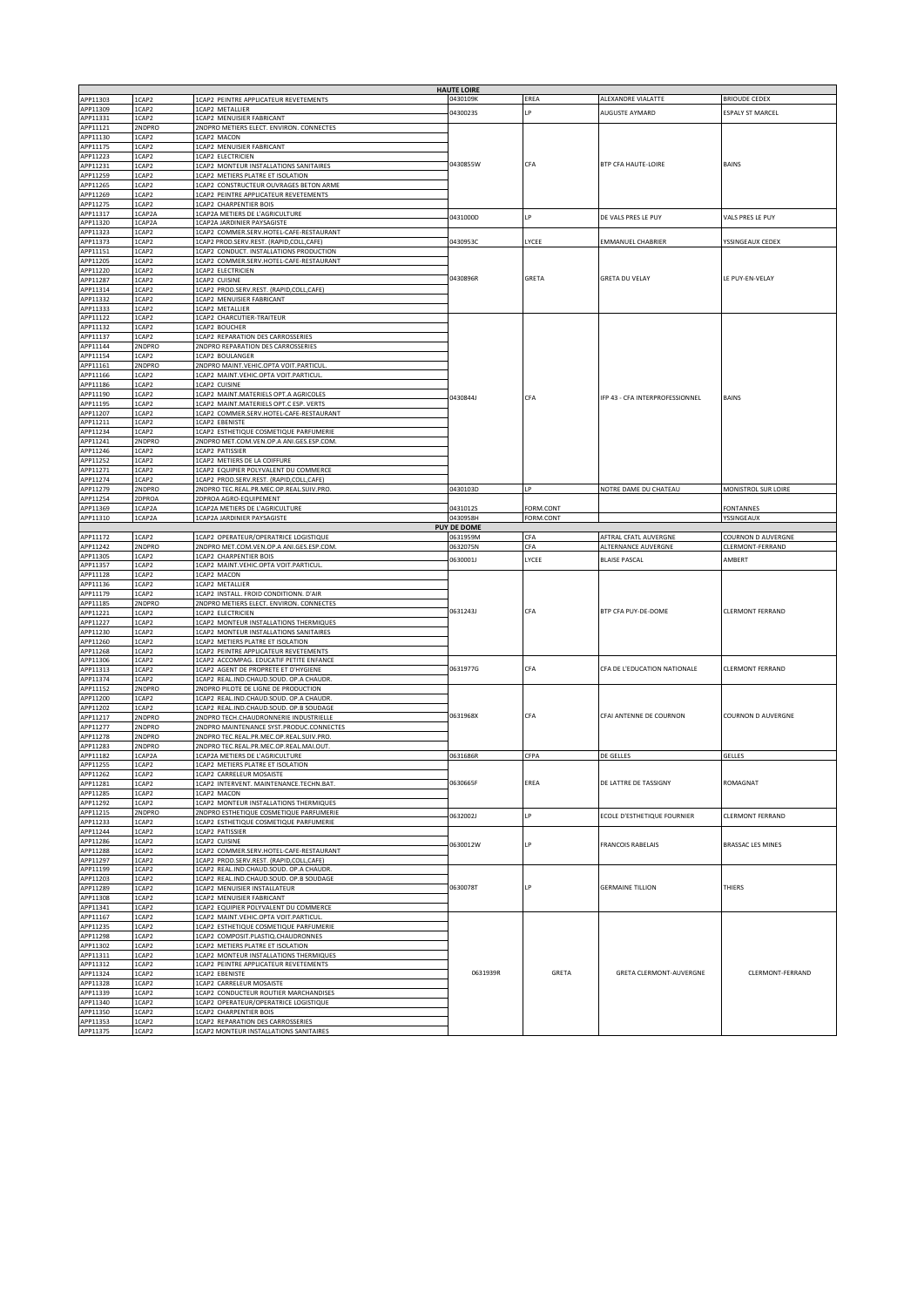|                      |                  |                                                                                     | <b>HAUTE LOIRE</b> |            |                                              |                                        |
|----------------------|------------------|-------------------------------------------------------------------------------------|--------------------|------------|----------------------------------------------|----------------------------------------|
| APP11303<br>APP11309 | 1CAP2<br>1CAP2   | 1CAP2 PEINTRE APPLICATEUR REVETEMENTS<br>1CAP2 METALLIER                            | 0430109K           | EREA       | ALEXANDRE VIALATTE                           | <b>BRIOUDE CEDEX</b>                   |
| APP11331             | 1CAP2            | 1CAP2 MENUISIER FABRICANT                                                           | 0430023S           | I P        | AUGUSTE AYMARD                               | <b>ESPALY ST MARCEL</b>                |
| APP11121             | 2NDPRO           | 2NDPRO METIERS ELECT. ENVIRON. CONNECTES                                            | 0430855W           |            |                                              | <b>BAINS</b>                           |
| APP11130             | 1CAP2            | 1CAP2 MACON                                                                         |                    |            | <b>BTP CFA HAUTE-LOIRE</b>                   |                                        |
| APP11175<br>APP11223 | 1CAP2<br>1CAP2   | 1CAP2 MENUISIER FABRICANT<br>1CAP2 ELECTRICIEN                                      |                    |            |                                              |                                        |
| APP11231             | 1CAP2            | 1CAP2 MONTEUR INSTALLATIONS SANITAIRES                                              |                    | CFA        |                                              |                                        |
| APP11259             | 1CAP2            | 1CAP2 METIERS PLATRE ET ISOLATION                                                   |                    |            |                                              |                                        |
| APP11265             | 1CAP2            | 1CAP2 CONSTRUCTEUR OUVRAGES BETON ARME                                              |                    |            |                                              |                                        |
| APP11269             | 1CAP2            | 1CAP2 PEINTRE APPLICATEUR REVETEMENTS                                               |                    |            |                                              |                                        |
| APP11275<br>APP11317 | 1CAP2<br>1CAP2A  | 1CAP2 CHARPENTIER BOIS<br>1CAP2A METIERS DE L'AGRICULTURE                           |                    |            |                                              |                                        |
| APP11320             | 1CAP2A           | 1CAP2A JARDINIER PAYSAGISTE                                                         | 0431000D           | LР         | DE VALS PRES LE PUY                          | VALS PRES LE PUY                       |
| APP11323             | 1CAP2            | 1CAP2 COMMER.SERV.HOTEL-CAFE-RESTAURANT                                             |                    |            |                                              |                                        |
| APP11373             | 1CAP2            | 1CAP2 PROD.SERV.REST. (RAPID,COLL,CAFE)                                             | 0430953C           | LYCEE      | EMMANUEL CHABRIER                            | YSSINGEAUX CEDEX                       |
| APP11151<br>APP11205 | 1CAP2<br>1CAP2   | 1CAP2 CONDUCT. INSTALLATIONS PRODUCTION<br>1CAP2 COMMER.SERV.HOTEL-CAFE-RESTAURANT  |                    |            | <b>GRETA DU VELAY</b>                        | LE PUY-EN-VELAY                        |
| APP11220             | 1CAP2            | 1CAP2 ELECTRICIEN                                                                   |                    |            |                                              |                                        |
| APP11287             | 1CAP2            | 1CAP2 CUISINE                                                                       | 0430896R           | GRETA      |                                              |                                        |
| APP11314             | 1CAP2            | 1CAP2 PROD.SERV.REST. (RAPID,COLL,CAFE)                                             |                    |            |                                              |                                        |
| APP11332<br>APP11333 | 1CAP2<br>1CAP2   | 1CAP2 MENUISIER FABRICANT<br>1CAP2 METALLIER                                        |                    |            |                                              |                                        |
| APP11122             | 1CAP2            | 1CAP2 CHARCUTIER-TRAITEUR                                                           |                    |            |                                              |                                        |
| APP11132             | 1CAP2            | 1CAP2 BOUCHER                                                                       |                    |            | IFP 43 - CFA INTERPROFESSIONNEL              | BAINS                                  |
| APP11137             | 1CAP2            | 1CAP2 REPARATION DES CARROSSERIES                                                   |                    |            |                                              |                                        |
| APP11144<br>APP11154 | 2NDPRO<br>1CAP2  | 2NDPRO REPARATION DES CARROSSERIES<br>1CAP2 BOULANGER                               |                    |            |                                              |                                        |
| APP11161             | 2NDPRO           | 2NDPRO MAINT.VEHIC.OPTA VOIT.PARTICUL                                               |                    |            |                                              |                                        |
| APP11166             | 1CAP2            | 1CAP2 MAINT.VEHIC.OPTA VOIT.PARTICUL.                                               |                    |            |                                              |                                        |
| APP11186             | 1CAP2            | 1CAP2 CUISINE                                                                       |                    |            |                                              |                                        |
| APP11190<br>APP11195 | 1CAP2<br>1CAP2   | 1CAP2 MAINT.MATERIELS OPT.A AGRICOLES<br>1CAP2 MAINT.MATERIELS OPT.C ESP. VERTS     | 0430844J           | CFA        |                                              |                                        |
| APP11207             | 1CAP2            | 1CAP2 COMMER.SERV.HOTEL-CAFE-RESTAURANT                                             |                    |            |                                              |                                        |
| APP11211             | 1CAP2            | 1CAP2 FRENISTE                                                                      |                    |            |                                              |                                        |
| APP11234             | 1CAP2            | 1CAP2 ESTHETIQUE COSMETIQUE PARFUMERIE                                              |                    |            |                                              |                                        |
| APP11241<br>APP11246 | 2NDPRO<br>1CAP2  | 2NDPRO MET.COM.VEN.OP.A ANI.GES.ESP.COM.<br>1CAP2 PATISSIER                         |                    |            |                                              |                                        |
| APP11252             | 1CAP2            | 1CAP2 METIERS DE LA COIFFURE                                                        |                    |            |                                              |                                        |
| APP11271             | 1CAP2            | 1CAP2 EQUIPIER POLYVALENT DU COMMERCE                                               |                    |            |                                              |                                        |
| APP11274             | 1CAP2            | 1CAP2 PROD.SERV.REST. (RAPID,COLL,CAFE)                                             |                    |            |                                              |                                        |
| APP11279<br>APP11254 | 2NDPRO<br>2DPROA | 2NDPRO TEC.REAL.PR.MEC.OP.REAL.SUIV.PRO.<br>2DPROA AGRO-EQUIPEMENT                  | 0430103D           | LP         | NOTRE DAME DU CHATEAU                        | MONISTROL SUR LOIRE                    |
| APP11369             | 1CAP2A           | 1CAP2A METIERS DE L'AGRICULTURE                                                     | 0431012S           | FORM.CONT  |                                              | <b>FONTANNES</b>                       |
| APP11310             | 1CAP2A           | 1CAP2A JARDINIER PAYSAGISTE                                                         | 0430958H           | FORM.CONT  |                                              | YSSINGEAUX                             |
|                      |                  |                                                                                     | <b>PUY DE DOME</b> |            |                                              |                                        |
| APP11172<br>APP11242 | 1CAP2<br>2NDPRO  | 1CAP2 OPERATEUR/OPERATRICE LOGISTIQUE<br>2NDPRO MET.COM.VEN.OP.A ANI.GES.ESP.COM.   | 0631959M           | CFA<br>CFA | AFTRAL CFATL AUVERGNE<br>ALTERNANCE AUVERGNE | COURNON D AUVERGNE<br>CLERMONT-FERRAND |
| APP11305             | 1CAP2            | 1CAP2 CHARPENTIER BOIS                                                              | 0632075N           |            |                                              | AMBERT                                 |
|                      |                  |                                                                                     | 0630001J           | LYCEE      | <b>BLAISE PASCAL</b>                         |                                        |
| APP11357             | 1CAP2            | 1CAP2 MAINT.VEHIC.OPTA VOIT.PARTICUL.                                               |                    |            |                                              |                                        |
| APP11128             | 1CAP2            | 1CAP2 MACON                                                                         |                    |            |                                              |                                        |
| APP11136             | 1CAP2            | 1CAP2 METALLIER                                                                     |                    |            |                                              |                                        |
| APP11179             | 1CAP2<br>2NDPRO  | 1CAP2 INSTALL. FROID CONDITIONN. D'AIR                                              |                    |            |                                              |                                        |
| APP11185<br>APP11221 | 1CAP2            | 2NDPRO METIERS ELECT. ENVIRON. CONNECTES<br>1CAP2 ELECTRICIEN                       | 0631243J           | CFA        | BTP CFA PUY-DE-DOME                          | CLERMONT FERRAND                       |
| APP11227             | 1CAP2            | 1CAP2 MONTEUR INSTALLATIONS THERMIQUES                                              |                    |            |                                              |                                        |
| APP11230             | 1CAP2            | 1CAP2 MONTEUR INSTALLATIONS SANITAIRES                                              |                    |            |                                              |                                        |
| APP11260             | 1CAP2            | 1CAP2 METIERS PLATRE ET ISOLATION                                                   |                    |            |                                              |                                        |
| APP11268<br>APP11306 | 1CAP2<br>1CAP2   | 1CAP2 PEINTRE APPLICATEUR REVETEMENTS<br>1CAP2 ACCOMPAG. EDUCATIF PETITE ENFANCE    |                    |            |                                              |                                        |
| APP11313             | 1CAP2            | 1CAP2 AGENT DE PROPRETE ET D'HYGIENE                                                | 0631977G           | CFA        | CFA DE L'EDUCATION NATIONALE                 | CLERMONT FERRAND                       |
| APP11374             | 1CAP2            | 1CAP2 REAL.IND.CHAUD.SOUD. OP.A CHAUDR                                              |                    |            |                                              |                                        |
| APP11152<br>APP11200 | 2NDPRO<br>1CAP2  | 2NDPRO PILOTE DE LIGNE DE PRODUCTION<br>1CAP2 REAL.IND.CHAUD.SOUD. OP.A CHAUDR.     |                    |            |                                              |                                        |
| APP11202             | 1CAP2            | 1CAP2 REAL.IND.CHAUD.SOUD. OP.B SOUDAGE                                             |                    |            |                                              |                                        |
| APP11217             | 2NDPRO           | 2NDPRO TECH.CHAUDRONNERIE INDUSTRIELLE                                              | 0631968X           | CFA        | CFAI ANTENNE DE COURNON                      | <b>COURNON D AUVERGNE</b>              |
| APP11277             | 2NDPRO           | 2NDPRO MAINTENANCE SYST.PRODUC.CONNECTES                                            |                    |            |                                              |                                        |
| APP11278<br>APP11283 | 2NDPRO<br>2NDPRO | 2NDPRO TEC.REAL.PR.MEC.OP.REAL.SUIV.PRO.<br>2NDPRO TEC.REAL.PR.MEC.OP.REAL.MAI.OUT. |                    |            |                                              |                                        |
| APP11182             | 1CAP2A           | 1CAP2A METIERS DE L'AGRICULTURE                                                     | 0631686R           | CFPA       | DE GELLES                                    | GELLES                                 |
| APP11255             | 1CAP2            | 1CAP2 METIERS PLATRE ET ISOLATION                                                   |                    |            |                                              |                                        |
| APP11262             | 1CAP2            | 1CAP2 CARRELEUR MOSAISTE                                                            | 0630665F           | EREA       | DE LATTRE DE TASSIGNY                        | ROMAGNA1                               |
| APP11281<br>APP11285 | 1CAP2<br>1CAP2   | 1CAP2 INTERVENT. MAINTENANCE.TECHN.BAT<br>1CAP2 MACON                               |                    |            |                                              |                                        |
| APP11292             | 1CAP2            | 1CAP2 MONTEUR INSTALLATIONS THERMIQUES                                              |                    |            |                                              |                                        |
| APP11215             | 2NDPRO           | 2NDPRO ESTHETIQUE COSMETIQUE PARFUMERIE                                             | 0632002J           | IP         | ECOLE D'ESTHETIQUE FOURNIER                  | CLERMONT FERRAND                       |
| APP11233             | 1CAP2            | 1CAP2 ESTHETIQUE COSMETIQUE PARFUMERIE                                              |                    |            |                                              |                                        |
| APP11244<br>APP11286 | 1CAP2<br>1CAP2   | 1CAP2 PATISSIER<br>1CAP2 CUISINE                                                    |                    | LP         |                                              |                                        |
| APP11288             | 1CAP2            | 1CAP2 COMMER.SERV.HOTEL-CAFE-RESTAURANT                                             | 0630012W           |            | <b>FRANCOIS RABELAIS</b>                     | BRASSAC LES MINES                      |
| APP11297             | 1CAP2            | 1CAP2 PROD.SERV.REST. (RAPID,COLL,CAFE)                                             |                    |            |                                              |                                        |
| APP11199             | 1CAP2            | 1CAP2 REAL.IND.CHAUD.SOUD. OP.A CHAUDR                                              |                    |            |                                              |                                        |
| APP11203<br>APP11289 | 1CAP2<br>1CAP2   | 1CAP2 REAL.IND.CHAUD.SOUD. OP.B SOUDAGE<br>1CAP2 MENUISIER INSTALLATEUR             | 0630078T           | LP         | <b>GERMAINE TILLION</b>                      | THIERS                                 |
| APP11308             | 1CAP2            | 1CAP2 MENUISIER FABRICANT                                                           |                    |            |                                              |                                        |
| APP11341             | 1CAP2            | 1CAP2 EQUIPIER POLYVALENT DU COMMERCE                                               |                    |            |                                              |                                        |
| APP11167<br>APP11235 | 1CAP2<br>1CAP2   | 1CAP2 MAINT.VEHIC.OPTA VOIT.PARTICUL.<br>1CAP2 ESTHETIQUE COSMETIQUE PARFUMERIE     |                    |            |                                              |                                        |
| APP11298             | 1CAP2            | 1CAP2 COMPOSIT.PLASTIQ.CHAUDRONNES                                                  |                    |            |                                              |                                        |
| APP11302             | 1CAP2            | 1CAP2 METIERS PLATRE ET ISOLATION                                                   |                    |            |                                              |                                        |
| APP11311<br>APP11312 | 1CAP2<br>1CAP2   | 1CAP2 MONTEUR INSTALLATIONS THERMIQUES                                              |                    |            |                                              |                                        |
| APP11324             | 1CAP2            | 1CAP2 PEINTRE APPLICATEUR REVETEMENTS<br>1CAP2 EBENISTE                             | 0631939R           | GRETA      | GRETA CLERMONT-AUVERGNE                      | CLERMONT-FERRAND                       |
| APP11328             | 1CAP2            | 1CAP2 CARRELEUR MOSAISTE                                                            |                    |            |                                              |                                        |
| APP11339             | 1CAP2            | 1CAP2 CONDUCTEUR ROUTIER MARCHANDISES                                               |                    |            |                                              |                                        |
| APP11340<br>APP11350 | 1CAP2<br>1CAP2   | 1CAP2 OPERATEUR/OPERATRICE LOGISTIQUE<br>1CAP2 CHARPENTIER BOIS                     |                    |            |                                              |                                        |
| APP11353<br>APP11375 | 1CAP2<br>1CAP2   | 1CAP2 REPARATION DES CARROSSERIES<br>1CAP2 MONTEUR INSTALLATIONS SANITAIRES         |                    |            |                                              |                                        |